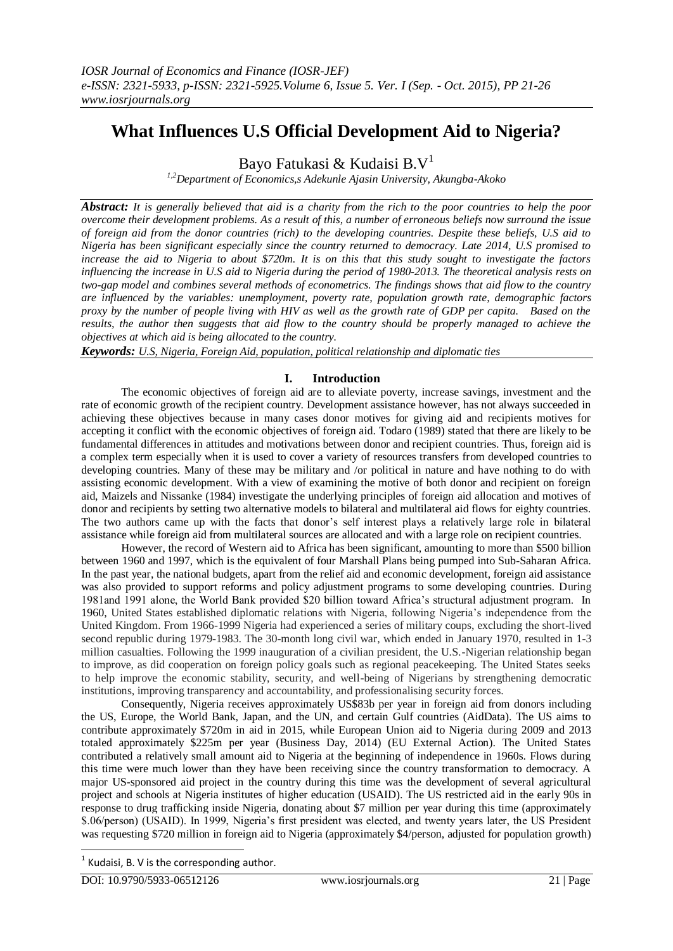# **What Influences U.S Official Development Aid to Nigeria?**

Bayo Fatukasi & Kudaisi  $B.V<sup>1</sup>$ 

*1,2Department of Economics,s Adekunle Ajasin University, Akungba-Akoko*

*Abstract: It is generally believed that aid is a charity from the rich to the poor countries to help the poor overcome their development problems. As a result of this, a number of erroneous beliefs now surround the issue of foreign aid from the donor countries (rich) to the developing countries. Despite these beliefs, U.S aid to Nigeria has been significant especially since the country returned to democracy. Late 2014, U.S promised to increase the aid to Nigeria to about \$720m. It is on this that this study sought to investigate the factors influencing the increase in U.S aid to Nigeria during the period of 1980-2013. The theoretical analysis rests on two-gap model and combines several methods of econometrics. The findings shows that aid flow to the country are influenced by the variables: unemployment, poverty rate, population growth rate, demographic factors proxy by the number of people living with HIV as well as the growth rate of GDP per capita. Based on the results, the author then suggests that aid flow to the country should be properly managed to achieve the objectives at which aid is being allocated to the country.* 

*Keywords: U.S, Nigeria, Foreign Aid, population, political relationship and diplomatic ties*

## **I. Introduction**

The economic objectives of foreign aid are to alleviate poverty, increase savings, investment and the rate of economic growth of the recipient country. Development assistance however, has not always succeeded in achieving these objectives because in many cases donor motives for giving aid and recipients motives for accepting it conflict with the economic objectives of foreign aid. Todaro (1989) stated that there are likely to be fundamental differences in attitudes and motivations between donor and recipient countries. Thus, foreign aid is a complex term especially when it is used to cover a variety of resources transfers from developed countries to developing countries. Many of these may be military and /or political in nature and have nothing to do with assisting economic development. With a view of examining the motive of both donor and recipient on foreign aid, Maizels and Nissanke (1984) investigate the underlying principles of foreign aid allocation and motives of donor and recipients by setting two alternative models to bilateral and multilateral aid flows for eighty countries. The two authors came up with the facts that donor's self interest plays a relatively large role in bilateral assistance while foreign aid from multilateral sources are allocated and with a large role on recipient countries.

However, the record of Western aid to Africa has been significant, amounting to more than \$500 billion between 1960 and 1997, which is the equivalent of four Marshall Plans being pumped into Sub-Saharan Africa. In the past year, the national budgets, apart from the relief aid and economic development, foreign aid assistance was also provided to support reforms and policy adjustment programs to some developing countries. During 1981and 1991 alone, the World Bank provided \$20 billion toward Africa"s structural adjustment program. In 1960, United States established diplomatic relations with Nigeria, following Nigeria"s independence from the United Kingdom. From 1966-1999 Nigeria had experienced a series of military coups, excluding the short-lived second republic during 1979-1983. The 30-month long civil war, which ended in January 1970, resulted in 1-3 million casualties. Following the 1999 inauguration of a civilian president, the U.S.-Nigerian relationship began to improve, as did cooperation on foreign policy goals such as regional peacekeeping. The United States seeks to help improve the economic stability, security, and well-being of Nigerians by strengthening democratic institutions, improving transparency and accountability, and professionalising security forces.

Consequently, Nigeria receives approximately US\$83b per year in foreign aid from donors including the US, Europe, the World Bank, Japan, and the UN, and certain Gulf countries (AidData). The US aims to contribute approximately \$720m in aid in 2015, while European Union aid to Nigeria during 2009 and 2013 totaled approximately \$225m per year (Business Day, 2014) (EU External Action). The United States contributed a relatively small amount aid to Nigeria at the beginning of independence in 1960s. Flows during this time were much lower than they have been receiving since the country transformation to democracy. A major US-sponsored aid project in the country during this time was the development of several agricultural project and schools at Nigeria institutes of higher education (USAID). The US restricted aid in the early 90s in response to drug trafficking inside Nigeria, donating about \$7 million per year during this time (approximately \$.06/person) (USAID). In 1999, Nigeria's first president was elected, and twenty years later, the US President was requesting \$720 million in foreign aid to Nigeria (approximately \$4/person, adjusted for population growth)

1

 $1$  Kudaisi, B. V is the corresponding author.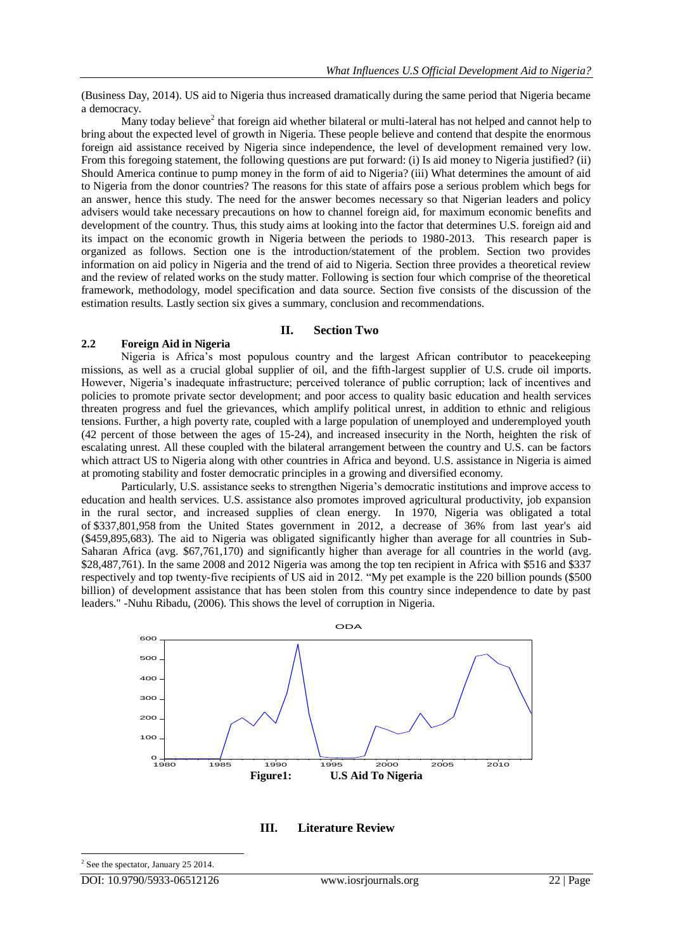(Business Day, 2014). US aid to Nigeria thus increased dramatically during the same period that Nigeria became a democracy.

Many today believe<sup>2</sup> that foreign aid whether bilateral or multi-lateral has not helped and cannot help to bring about the expected level of growth in Nigeria. These people believe and contend that despite the enormous foreign aid assistance received by Nigeria since independence, the level of development remained very low. From this foregoing statement, the following questions are put forward: (i) Is aid money to Nigeria justified? (ii) Should America continue to pump money in the form of aid to Nigeria? (iii) What determines the amount of aid to Nigeria from the donor countries? The reasons for this state of affairs pose a serious problem which begs for an answer, hence this study. The need for the answer becomes necessary so that Nigerian leaders and policy advisers would take necessary precautions on how to channel foreign aid, for maximum economic benefits and development of the country. Thus, this study aims at looking into the factor that determines U.S. foreign aid and its impact on the economic growth in Nigeria between the periods to 1980-2013. This research paper is organized as follows. Section one is the introduction/statement of the problem. Section two provides information on aid policy in Nigeria and the trend of aid to Nigeria. Section three provides a theoretical review and the review of related works on the study matter. Following is section four which comprise of the theoretical framework, methodology, model specification and data source. Section five consists of the discussion of the estimation results. Lastly section six gives a summary, conclusion and recommendations.

#### **II. Section Two**

#### **2.2 Foreign Aid in Nigeria**

Nigeria is Africa"s most populous country and the largest African contributor to peacekeeping missions, as well as a crucial global supplier of oil, and the fifth-largest supplier of U.S. crude oil imports. However, Nigeria"s inadequate infrastructure; perceived tolerance of public corruption; lack of incentives and policies to promote private sector development; and poor access to quality basic education and health services threaten progress and fuel the grievances, which amplify political unrest, in addition to ethnic and religious tensions. Further, a high poverty rate, coupled with a large population of unemployed and underemployed youth (42 percent of those between the ages of 15-24), and increased insecurity in the North, heighten the risk of escalating unrest. All these coupled with the bilateral arrangement between the country and U.S. can be factors which attract US to Nigeria along with other countries in Africa and beyond. U.S. assistance in Nigeria is aimed at promoting stability and foster democratic principles in a growing and diversified economy.

Particularly, U.S. assistance seeks to strengthen Nigeria"s democratic institutions and improve access to education and health services. U.S. assistance also promotes improved agricultural productivity, job expansion in the rural sector, and increased supplies of clean energy. In 1970, Nigeria was obligated a total of \$337,801,958 from the United States government in 2012, a decrease of 36% from last year's aid (\$459,895,683). The aid to Nigeria was obligated significantly higher than average for all countries in Sub-Saharan Africa (avg. \$67,761,170) and significantly higher than average for all countries in the world (avg. \$28,487,761). In the same 2008 and 2012 Nigeria was among the top ten recipient in Africa with \$516 and \$337 respectively and top twenty-five recipients of US aid in 2012. "My pet example is the 220 billion pounds (\$500 billion) of development assistance that has been stolen from this country since independence to date by past leaders." -Nuhu Ribadu, (2006). This shows the level of corruption in Nigeria.



**III. Literature Review**

-

<sup>&</sup>lt;sup>2</sup> See the spectator, January 25 2014.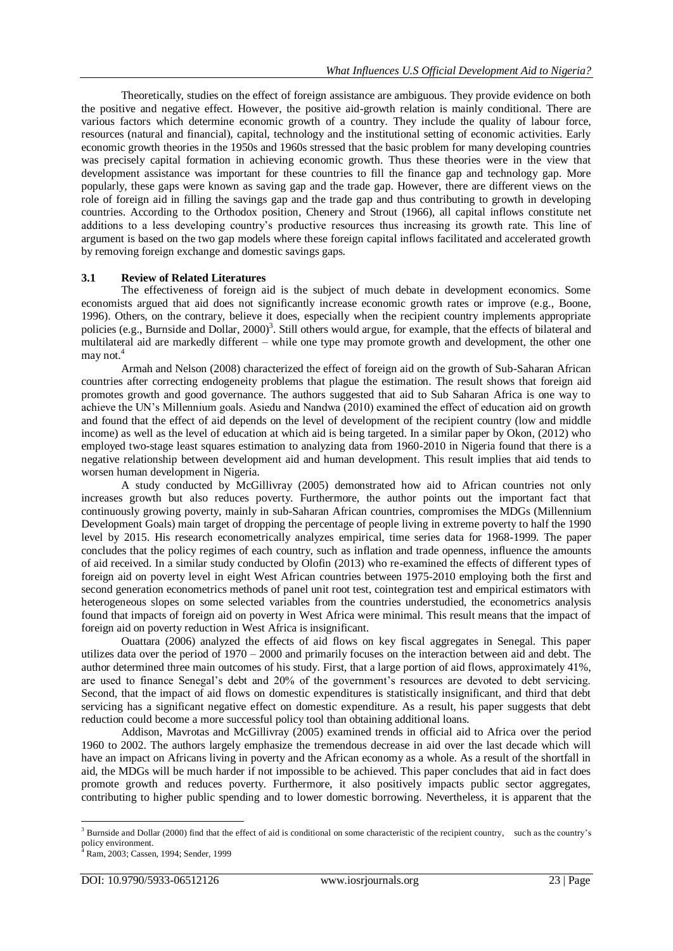Theoretically, studies on the effect of foreign assistance are ambiguous. They provide evidence on both the positive and negative effect. However, the positive aid-growth relation is mainly conditional. There are various factors which determine economic growth of a country. They include the quality of labour force, resources (natural and financial), capital, technology and the institutional setting of economic activities. Early economic growth theories in the 1950s and 1960s stressed that the basic problem for many developing countries was precisely capital formation in achieving economic growth. Thus these theories were in the view that development assistance was important for these countries to fill the finance gap and technology gap. More popularly, these gaps were known as saving gap and the trade gap. However, there are different views on the role of foreign aid in filling the savings gap and the trade gap and thus contributing to growth in developing countries. According to the Orthodox position, Chenery and Strout (1966), all capital inflows constitute net additions to a less developing country"s productive resources thus increasing its growth rate. This line of argument is based on the two gap models where these foreign capital inflows facilitated and accelerated growth by removing foreign exchange and domestic savings gaps.

#### **3.1 Review of Related Literatures**

The effectiveness of foreign aid is the subject of much debate in development economics. Some economists argued that aid does not significantly increase economic growth rates or improve (e.g., Boone, 1996). Others, on the contrary, believe it does, especially when the recipient country implements appropriate policies (e.g., Burnside and Dollar, 2000)<sup>3</sup>. Still others would argue, for example, that the effects of bilateral and multilateral aid are markedly different – while one type may promote growth and development, the other one may not. $4$ 

Armah and Nelson (2008) characterized the effect of foreign aid on the growth of Sub-Saharan African countries after correcting endogeneity problems that plague the estimation. The result shows that foreign aid promotes growth and good governance. The authors suggested that aid to Sub Saharan Africa is one way to achieve the UN"s Millennium goals. Asiedu and Nandwa (2010) examined the effect of education aid on growth and found that the effect of aid depends on the level of development of the recipient country (low and middle income) as well as the level of education at which aid is being targeted. In a similar paper by Okon, (2012) who employed two-stage least squares estimation to analyzing data from 1960-2010 in Nigeria found that there is a negative relationship between development aid and human development. This result implies that aid tends to worsen human development in Nigeria.

A study conducted by McGillivray (2005) demonstrated how aid to African countries not only increases growth but also reduces poverty. Furthermore, the author points out the important fact that continuously growing poverty, mainly in sub-Saharan African countries, compromises the MDGs (Millennium Development Goals) main target of dropping the percentage of people living in extreme poverty to half the 1990 level by 2015. His research econometrically analyzes empirical, time series data for 1968-1999. The paper concludes that the policy regimes of each country, such as inflation and trade openness, influence the amounts of aid received. In a similar study conducted by Olofin (2013) who re-examined the effects of different types of foreign aid on poverty level in eight West African countries between 1975-2010 employing both the first and second generation econometrics methods of panel unit root test, cointegration test and empirical estimators with heterogeneous slopes on some selected variables from the countries understudied, the econometrics analysis found that impacts of foreign aid on poverty in West Africa were minimal. This result means that the impact of foreign aid on poverty reduction in West Africa is insignificant.

Ouattara (2006) analyzed the effects of aid flows on key fiscal aggregates in Senegal. This paper utilizes data over the period of 1970 – 2000 and primarily focuses on the interaction between aid and debt. The author determined three main outcomes of his study. First, that a large portion of aid flows, approximately 41%, are used to finance Senegal's debt and 20% of the government's resources are devoted to debt servicing. Second, that the impact of aid flows on domestic expenditures is statistically insignificant, and third that debt servicing has a significant negative effect on domestic expenditure. As a result, his paper suggests that debt reduction could become a more successful policy tool than obtaining additional loans.

Addison, Mavrotas and McGillivray (2005) examined trends in official aid to Africa over the period 1960 to 2002. The authors largely emphasize the tremendous decrease in aid over the last decade which will have an impact on Africans living in poverty and the African economy as a whole. As a result of the shortfall in aid, the MDGs will be much harder if not impossible to be achieved. This paper concludes that aid in fact does promote growth and reduces poverty. Furthermore, it also positively impacts public sector aggregates, contributing to higher public spending and to lower domestic borrowing. Nevertheless, it is apparent that the

-

 $3$  Burnside and Dollar (2000) find that the effect of aid is conditional on some characteristic of the recipient country, such as the country's policy environment. <sup>4</sup> Ram, 2003; Cassen, 1994; Sender, 1999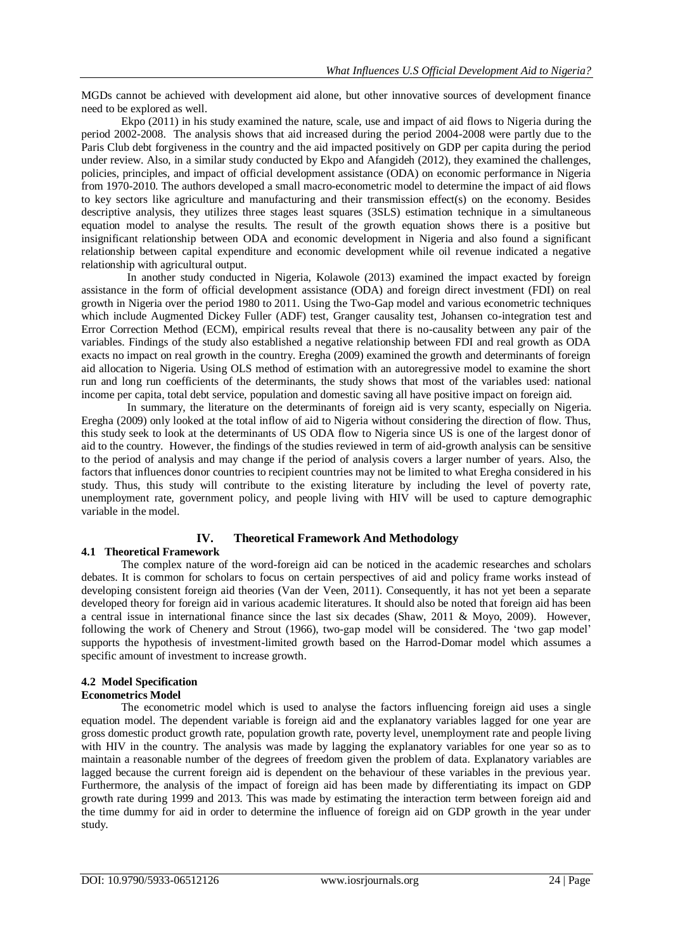MGDs cannot be achieved with development aid alone, but other innovative sources of development finance need to be explored as well.

Ekpo (2011) in his study examined the nature, scale, use and impact of aid flows to Nigeria during the period 2002-2008. The analysis shows that aid increased during the period 2004-2008 were partly due to the Paris Club debt forgiveness in the country and the aid impacted positively on GDP per capita during the period under review. Also, in a similar study conducted by Ekpo and Afangideh (2012), they examined the challenges, policies, principles, and impact of official development assistance (ODA) on economic performance in Nigeria from 1970-2010. The authors developed a small macro-econometric model to determine the impact of aid flows to key sectors like agriculture and manufacturing and their transmission effect(s) on the economy. Besides descriptive analysis, they utilizes three stages least squares (3SLS) estimation technique in a simultaneous equation model to analyse the results. The result of the growth equation shows there is a positive but insignificant relationship between ODA and economic development in Nigeria and also found a significant relationship between capital expenditure and economic development while oil revenue indicated a negative relationship with agricultural output.

In another study conducted in Nigeria, Kolawole (2013) examined the impact exacted by foreign assistance in the form of official development assistance (ODA) and foreign direct investment (FDI) on real growth in Nigeria over the period 1980 to 2011. Using the Two-Gap model and various econometric techniques which include Augmented Dickey Fuller (ADF) test, Granger causality test, Johansen co-integration test and Error Correction Method (ECM), empirical results reveal that there is no-causality between any pair of the variables. Findings of the study also established a negative relationship between FDI and real growth as ODA exacts no impact on real growth in the country. Eregha (2009) examined the growth and determinants of foreign aid allocation to Nigeria. Using OLS method of estimation with an autoregressive model to examine the short run and long run coefficients of the determinants, the study shows that most of the variables used: national income per capita, total debt service, population and domestic saving all have positive impact on foreign aid.

In summary, the literature on the determinants of foreign aid is very scanty, especially on Nigeria. Eregha (2009) only looked at the total inflow of aid to Nigeria without considering the direction of flow. Thus, this study seek to look at the determinants of US ODA flow to Nigeria since US is one of the largest donor of aid to the country. However, the findings of the studies reviewed in term of aid-growth analysis can be sensitive to the period of analysis and may change if the period of analysis covers a larger number of years. Also, the factors that influences donor countries to recipient countries may not be limited to what Eregha considered in his study. Thus, this study will contribute to the existing literature by including the level of poverty rate, unemployment rate, government policy, and people living with HIV will be used to capture demographic variable in the model.

## **IV. Theoretical Framework And Methodology**

## **4.1 Theoretical Framework**

The complex nature of the word-foreign aid can be noticed in the academic researches and scholars debates. It is common for scholars to focus on certain perspectives of aid and policy frame works instead of developing consistent foreign aid theories (Van der Veen, 2011). Consequently, it has not yet been a separate developed theory for foreign aid in various academic literatures. It should also be noted that foreign aid has been a central issue in international finance since the last six decades (Shaw, 2011 & Moyo, 2009). However, following the work of Chenery and Strout (1966), two-gap model will be considered. The "two gap model" supports the hypothesis of investment-limited growth based on the Harrod-Domar model which assumes a specific amount of investment to increase growth.

# **4.2 Model Specification**

## **Econometrics Model**

The econometric model which is used to analyse the factors influencing foreign aid uses a single equation model. The dependent variable is foreign aid and the explanatory variables lagged for one year are gross domestic product growth rate, population growth rate, poverty level, unemployment rate and people living with HIV in the country. The analysis was made by lagging the explanatory variables for one year so as to maintain a reasonable number of the degrees of freedom given the problem of data. Explanatory variables are lagged because the current foreign aid is dependent on the behaviour of these variables in the previous year. Furthermore, the analysis of the impact of foreign aid has been made by differentiating its impact on GDP growth rate during 1999 and 2013. This was made by estimating the interaction term between foreign aid and the time dummy for aid in order to determine the influence of foreign aid on GDP growth in the year under study.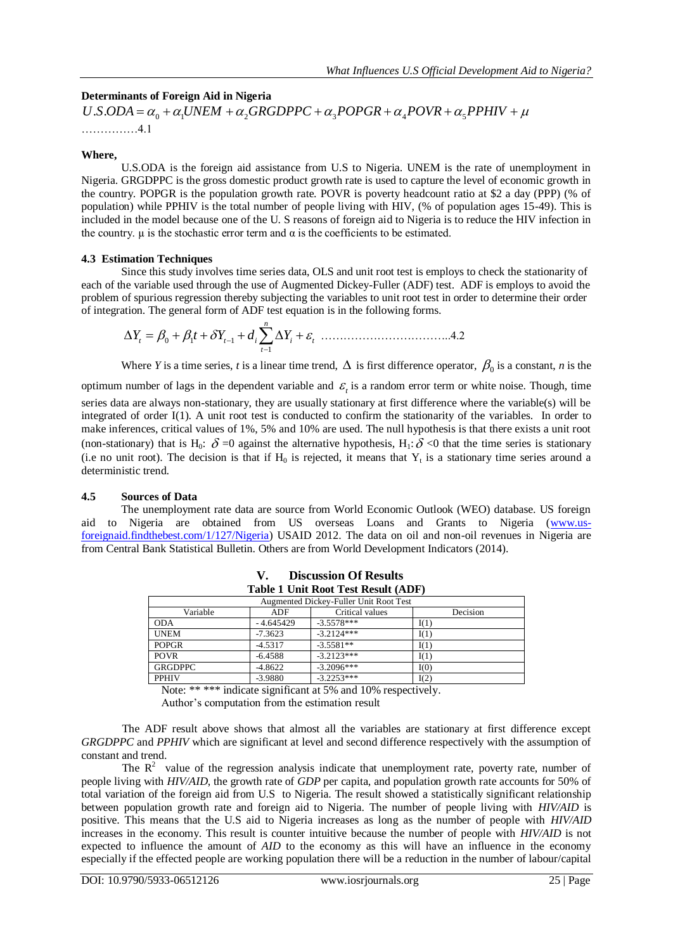# **Determinants of Foreign Aid in Nigeria**

……………4.1

#### **Where,**

U.S.ODA is the foreign aid assistance from U.S to Nigeria. UNEM is the rate of unemployment in Nigeria. GRGDPPC is the gross domestic product growth rate is used to capture the level of economic growth in the country. POPGR is the population growth rate. POVR is poverty headcount ratio at \$2 a day (PPP) (% of population) while PPHIV is the total number of people living with HIV, (% of population ages 15-49). This is included in the model because one of the U. S reasons of foreign aid to Nigeria is to reduce the HIV infection in the country.  $\mu$  is the stochastic error term and  $\alpha$  is the coefficients to be estimated.

## **4.3 Estimation Techniques**

Since this study involves time series data, OLS and unit root test is employs to check the stationarity of each of the variable used through the use of Augmented Dickey-Fuller (ADF) test. ADF is employs to avoid the problem of spurious regression thereby subjecting the variables to unit root test in order to determine their order of integration. The general form of ADF test equation is in the following forms.

……………………………..4.2 1 *n t*

Where *Y* is a time series, *t* is a linear time trend,  $\Delta$  is first difference operator,  $\beta_0$  is a constant, *n* is the

optimum number of lags in the dependent variable and  $\varepsilon$ <sub>t</sub> is a random error term or white noise. Though, time series data are always non-stationary, they are usually stationary at first difference where the variable(s) will be integrated of order I(1). A unit root test is conducted to confirm the stationarity of the variables. In order to make inferences, critical values of 1%, 5% and 10% are used. The null hypothesis is that there exists a unit root (non-stationary) that is H<sub>0</sub>:  $\delta$  =0 against the alternative hypothesis, H<sub>1</sub>:  $\delta$  <0 that the time series is stationary (i.e no unit root). The decision is that if  $H_0$  is rejected, it means that  $Y_t$  is a stationary time series around a deterministic trend. **Determinantsof Portign Ald in Nigeria**<br> *U.S.ODA* =  $\alpha_c = \alpha_c U / N \Delta M + \alpha_c (GRODPPC + \alpha_c P OPRK + \alpha_c P P N K + \alpha_c P P P W K + \mu$ <br>
Where  $U.S. ODA = \alpha_c = \alpha_c U / N \Delta M + \alpha_c (GRODPPC + \alpha_c P OPRK + \alpha_c P P P H V + \mu$ <br> **Where**  $U.S. ODA$  is the foreign and assistance from U.S. **Example 18 In the UK is the UK and the Set in the Set increased in the set of the decomptom (SCR) and a sistance from U.S. to Nig 10 HA 4.1**<br> **All CDDA** is the foreign aid assistance from U.S. to Nig 10 HA 1.<br> **CDDPC** is *Yhat Influences U.S Official Development Aid to Nigeria***<br>
<b>The of Porcign Aid in Nigeria**<br>  $-a_n + a_n V/NEM + a_n GRGDPPIC + a_n POPGR + a_n POVR + a_n PPHV + \mu$ <br>
4.1<br>
4.1<br> **YODA** is the foreign tid assistance from U.S to Nigeria. UNLIM is the rate o 

## **4.5 Sources of Data**

The unemployment rate data are source from World Economic Outlook (WEO) database. US foreign aid to Nigeria are obtained from US overseas Loans and Grants to Nigeria (www.usforeignaid.findthebest.com/1/127/Nigeria) USAID 2012. The data on oil and non-oil revenues in Nigeria are from Central Bank Statistical Bulletin. Others are from World Development Indicators (2014).

| Table 1 Unit Root Test Result (ADF)    |             |                 |          |  |
|----------------------------------------|-------------|-----------------|----------|--|
| Augmented Dickey-Fuller Unit Root Test |             |                 |          |  |
| Variable                               | ADF         | Critical values | Decision |  |
| <b>ODA</b>                             | $-4.645429$ | $-3.5578***$    | I(1)     |  |
| <b>UNEM</b>                            | $-7.3623$   | $-3.2124***$    | I(1)     |  |
| <b>POPGR</b>                           | $-4.5317$   | $-3.5581**$     | I(1)     |  |
| <b>POVR</b>                            | $-6.4588$   | $-3.2123***$    | I(1)     |  |
| <b>GRGDPPC</b>                         | $-4.8622$   | $-3.2096***$    | I(0)     |  |
| <b>PPHIV</b>                           | $-3.9880$   | $-3.2253***$    | I(2)     |  |

| V. | <b>Discussion Of Results</b>        |
|----|-------------------------------------|
|    | Table 1 Hnit Root Test Result (ADF) |

Note: \*\*\*\*\* indicate significant at 5% and 10% respectively.

Author"s computation from the estimation result

The ADF result above shows that almost all the variables are stationary at first difference except *GRGDPPC* and *PPHIV* which are significant at level and second difference respectively with the assumption of constant and trend.

The  $\mathbb{R}^2$  value of the regression analysis indicate that unemployment rate, poverty rate, number of people living with *HIV/AID*, the growth rate of *GDP* per capita, and population growth rate accounts for 50% of total variation of the foreign aid from U.S to Nigeria. The result showed a statistically significant relationship between population growth rate and foreign aid to Nigeria. The number of people living with *HIV/AID* is positive. This means that the U.S aid to Nigeria increases as long as the number of people with *HIV/AID* increases in the economy. This result is counter intuitive because the number of people with *HIV/AID* is not expected to influence the amount of *AID* to the economy as this will have an influence in the economy especially if the effected people are working population there will be a reduction in the number of labour/capital